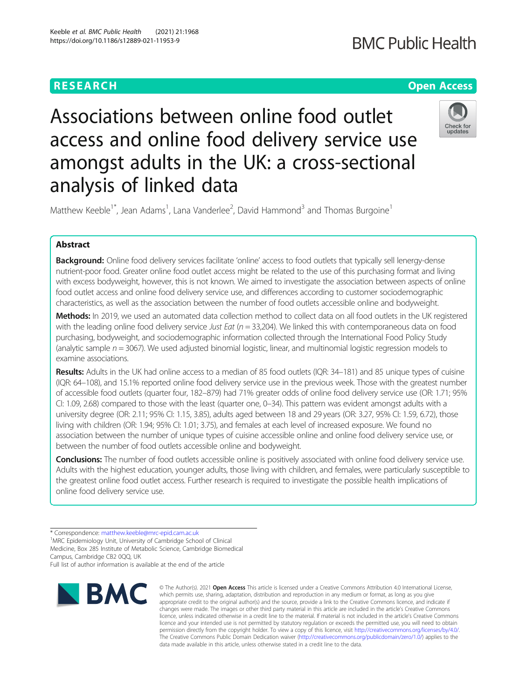analysis of linked data

### **RESEARCH CHE Open Access**

## **BMC Public Health**

# Associations between online food outlet access and online food delivery service use amongst adults in the UK: a cross-sectional



Matthew Keeble<sup>1\*</sup>, Jean Adams<sup>1</sup>, Lana Vanderlee<sup>2</sup>, David Hammond<sup>3</sup> and Thomas Burgoine<sup>1</sup>

### Abstract

Background: Online food delivery services facilitate 'online' access to food outlets that typically sell lenergy-dense nutrient-poor food. Greater online food outlet access might be related to the use of this purchasing format and living with excess bodyweight, however, this is not known. We aimed to investigate the association between aspects of online food outlet access and online food delivery service use, and differences according to customer sociodemographic characteristics, as well as the association between the number of food outlets accessible online and bodyweight.

Methods: In 2019, we used an automated data collection method to collect data on all food outlets in the UK registered with the leading online food delivery service Just Eat ( $n = 33,204$ ). We linked this with contemporaneous data on food purchasing, bodyweight, and sociodemographic information collected through the International Food Policy Study (analytic sample  $n = 3067$ ). We used adjusted binomial logistic, linear, and multinomial logistic regression models to examine associations.

Results: Adults in the UK had online access to a median of 85 food outlets (IQR: 34–181) and 85 unique types of cuisine (IQR: 64–108), and 15.1% reported online food delivery service use in the previous week. Those with the greatest number of accessible food outlets (quarter four, 182–879) had 71% greater odds of online food delivery service use (OR: 1.71; 95% CI: 1.09, 2.68) compared to those with the least (quarter one, 0–34). This pattern was evident amongst adults with a university degree (OR: 2.11; 95% CI: 1.15, 3.85), adults aged between 18 and 29 years (OR: 3.27, 95% CI: 1.59, 6.72), those living with children (OR: 1.94; 95% CI: 1.01; 3.75), and females at each level of increased exposure. We found no association between the number of unique types of cuisine accessible online and online food delivery service use, or between the number of food outlets accessible online and bodyweight.

Conclusions: The number of food outlets accessible online is positively associated with online food delivery service use. Adults with the highest education, younger adults, those living with children, and females, were particularly susceptible to the greatest online food outlet access. Further research is required to investigate the possible health implications of online food delivery service use.

<sup>1</sup>MRC Epidemiology Unit, University of Cambridge School of Clinical

Medicine, Box 285 Institute of Metabolic Science, Cambridge Biomedical Campus, Cambridge CB2 0QQ, UK

Full list of author information is available at the end of the article



© The Author(s), 2021 **Open Access** This article is licensed under a Creative Commons Attribution 4.0 International License, which permits use, sharing, adaptation, distribution and reproduction in any medium or format, as long as you give appropriate credit to the original author(s) and the source, provide a link to the Creative Commons licence, and indicate if changes were made. The images or other third party material in this article are included in the article's Creative Commons licence, unless indicated otherwise in a credit line to the material. If material is not included in the article's Creative Commons licence and your intended use is not permitted by statutory regulation or exceeds the permitted use, you will need to obtain permission directly from the copyright holder. To view a copy of this licence, visit http://creativecommons.org/licenses/by/4.0/. The Creative Commons Public Domain Dedication waiver (http://creativecommons.org/publicdomain/zero/1.0/) applies to the data made available in this article, unless otherwise stated in a credit line to the data.

<sup>\*</sup> Correspondence: matthew.keeble@mrc-epid.cam.ac.uk <sup>1</sup>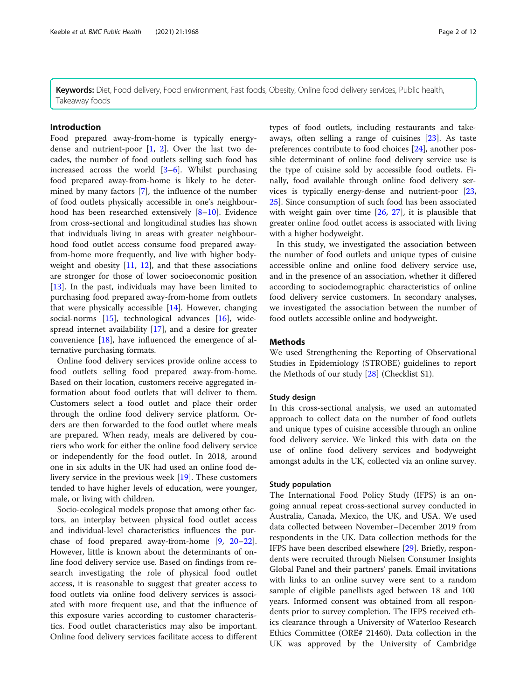Keywords: Diet, Food delivery, Food environment, Fast foods, Obesity, Online food delivery services, Public health, Takeaway foods

#### Introduction

Food prepared away-from-home is typically energydense and nutrient-poor [1, 2]. Over the last two decades, the number of food outlets selling such food has increased across the world [3–6]. Whilst purchasing food prepared away-from-home is likely to be determined by many factors [7], the influence of the number of food outlets physically accessible in one's neighbourhood has been researched extensively [8–10]. Evidence from cross-sectional and longitudinal studies has shown that individuals living in areas with greater neighbourhood food outlet access consume food prepared awayfrom-home more frequently, and live with higher bodyweight and obesity  $[11, 12]$ , and that these associations are stronger for those of lower socioeconomic position [13]. In the past, individuals may have been limited to purchasing food prepared away-from-home from outlets that were physically accessible [14]. However, changing social-norms [15], technological advances [16], widespread internet availability [17], and a desire for greater convenience [18], have influenced the emergence of alternative purchasing formats.

Online food delivery services provide online access to food outlets selling food prepared away-from-home. Based on their location, customers receive aggregated information about food outlets that will deliver to them. Customers select a food outlet and place their order through the online food delivery service platform. Orders are then forwarded to the food outlet where meals are prepared. When ready, meals are delivered by couriers who work for either the online food delivery service or independently for the food outlet. In 2018, around one in six adults in the UK had used an online food delivery service in the previous week [19]. These customers tended to have higher levels of education, were younger, male, or living with children.

Socio-ecological models propose that among other factors, an interplay between physical food outlet access and individual-level characteristics influences the purchase of food prepared away-from-home [9, 20–22]. However, little is known about the determinants of online food delivery service use. Based on findings from research investigating the role of physical food outlet access, it is reasonable to suggest that greater access to food outlets via online food delivery services is associated with more frequent use, and that the influence of this exposure varies according to customer characteristics. Food outlet characteristics may also be important. Online food delivery services facilitate access to different

types of food outlets, including restaurants and takeaways, often selling a range of cuisines [23]. As taste preferences contribute to food choices [24], another possible determinant of online food delivery service use is the type of cuisine sold by accessible food outlets. Finally, food available through online food delivery services is typically energy-dense and nutrient-poor [23, 25]. Since consumption of such food has been associated with weight gain over time [26, 27], it is plausible that greater online food outlet access is associated with living with a higher bodyweight.

In this study, we investigated the association between the number of food outlets and unique types of cuisine accessible online and online food delivery service use, and in the presence of an association, whether it differed according to sociodemographic characteristics of online food delivery service customers. In secondary analyses, we investigated the association between the number of food outlets accessible online and bodyweight.

#### **Methods**

We used Strengthening the Reporting of Observational Studies in Epidemiology (STROBE) guidelines to report the Methods of our study [28] (Checklist S1).

#### Study design

In this cross-sectional analysis, we used an automated approach to collect data on the number of food outlets and unique types of cuisine accessible through an online food delivery service. We linked this with data on the use of online food delivery services and bodyweight amongst adults in the UK, collected via an online survey.

#### Study population

The International Food Policy Study (IFPS) is an ongoing annual repeat cross-sectional survey conducted in Australia, Canada, Mexico, the UK, and USA. We used data collected between November–December 2019 from respondents in the UK. Data collection methods for the IFPS have been described elsewhere [29]. Briefly, respondents were recruited through Nielsen Consumer Insights Global Panel and their partners' panels. Email invitations with links to an online survey were sent to a random sample of eligible panellists aged between 18 and 100 years. Informed consent was obtained from all respondents prior to survey completion. The IFPS received ethics clearance through a University of Waterloo Research Ethics Committee (ORE# 21460). Data collection in the UK was approved by the University of Cambridge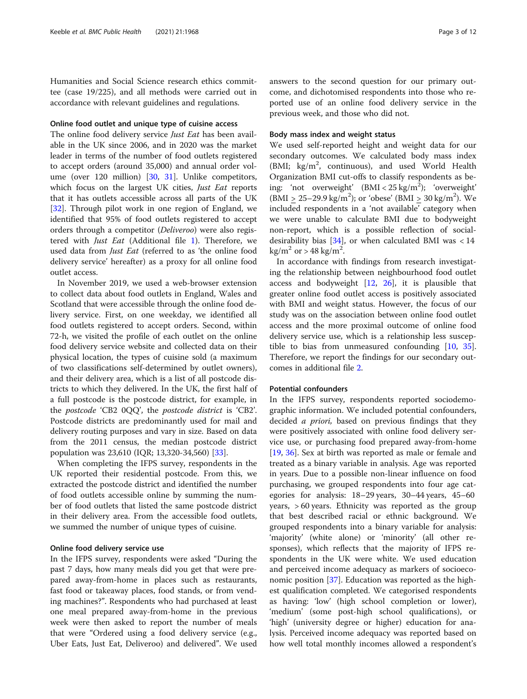Humanities and Social Science research ethics committee (case 19/225), and all methods were carried out in accordance with relevant guidelines and regulations.

#### Online food outlet and unique type of cuisine access

The online food delivery service Just Eat has been available in the UK since 2006, and in 2020 was the market leader in terms of the number of food outlets registered to accept orders (around 35,000) and annual order volume (over 120 million) [30, 31]. Unlike competitors, which focus on the largest UK cities, Just Eat reports that it has outlets accessible across all parts of the UK [32]. Through pilot work in one region of England, we identified that 95% of food outlets registered to accept orders through a competitor (Deliveroo) were also registered with Just Eat (Additional file 1). Therefore, we used data from Just Eat (referred to as 'the online food delivery service' hereafter) as a proxy for all online food outlet access.

In November 2019, we used a web-browser extension to collect data about food outlets in England, Wales and Scotland that were accessible through the online food delivery service. First, on one weekday, we identified all food outlets registered to accept orders. Second, within 72-h, we visited the profile of each outlet on the online food delivery service website and collected data on their physical location, the types of cuisine sold (a maximum of two classifications self-determined by outlet owners), and their delivery area, which is a list of all postcode districts to which they delivered. In the UK, the first half of a full postcode is the postcode district, for example, in the postcode 'CB2 0QQ', the postcode district is 'CB2'. Postcode districts are predominantly used for mail and delivery routing purposes and vary in size. Based on data from the 2011 census, the median postcode district population was 23,610 (IQR; 13,320-34,560) [33].

When completing the IFPS survey, respondents in the UK reported their residential postcode. From this, we extracted the postcode district and identified the number of food outlets accessible online by summing the number of food outlets that listed the same postcode district in their delivery area. From the accessible food outlets, we summed the number of unique types of cuisine.

#### Online food delivery service use

In the IFPS survey, respondents were asked "During the past 7 days, how many meals did you get that were prepared away-from-home in places such as restaurants, fast food or takeaway places, food stands, or from vending machines?". Respondents who had purchased at least one meal prepared away-from-home in the previous week were then asked to report the number of meals that were "Ordered using a food delivery service (e.g., Uber Eats, Just Eat, Deliveroo) and delivered". We used answers to the second question for our primary outcome, and dichotomised respondents into those who reported use of an online food delivery service in the previous week, and those who did not.

#### Body mass index and weight status

We used self-reported height and weight data for our secondary outcomes. We calculated body mass index (BMI; kg/m<sup>2</sup>, continuous), and used World Health Organization BMI cut-offs to classify respondents as being: 'not overweight' (BMI < 25 kg/m<sup>2</sup> ); 'overweight'  $(BMI \ge 25-29.9 \text{ kg/m}^2)$ ; or 'obese'  $(BMI \ge 30 \text{ kg/m}^2)$ . We included respondents in a 'not available' category when we were unable to calculate BMI due to bodyweight non-report, which is a possible reflection of socialdesirability bias  $[34]$ , or when calculated BMI was < 14  $\text{kg/m}^2$  or > 48 kg/m<sup>2</sup>.

In accordance with findings from research investigating the relationship between neighbourhood food outlet access and bodyweight [12, 26], it is plausible that greater online food outlet access is positively associated with BMI and weight status. However, the focus of our study was on the association between online food outlet access and the more proximal outcome of online food delivery service use, which is a relationship less susceptible to bias from unmeasured confounding [10, 35]. Therefore, we report the findings for our secondary outcomes in additional file 2.

#### Potential confounders

In the IFPS survey, respondents reported sociodemographic information. We included potential confounders, decided *a priori*, based on previous findings that they were positively associated with online food delivery service use, or purchasing food prepared away-from-home [19, 36]. Sex at birth was reported as male or female and treated as a binary variable in analysis. Age was reported in years. Due to a possible non-linear influence on food purchasing, we grouped respondents into four age categories for analysis: 18–29 years, 30–44 years, 45–60 years, > 60 years. Ethnicity was reported as the group that best described racial or ethnic background. We grouped respondents into a binary variable for analysis: 'majority' (white alone) or 'minority' (all other responses), which reflects that the majority of IFPS respondents in the UK were white. We used education and perceived income adequacy as markers of socioeconomic position [37]. Education was reported as the highest qualification completed. We categorised respondents as having: 'low' (high school completion or lower), 'medium' (some post-high school qualifications), or 'high' (university degree or higher) education for analysis. Perceived income adequacy was reported based on how well total monthly incomes allowed a respondent's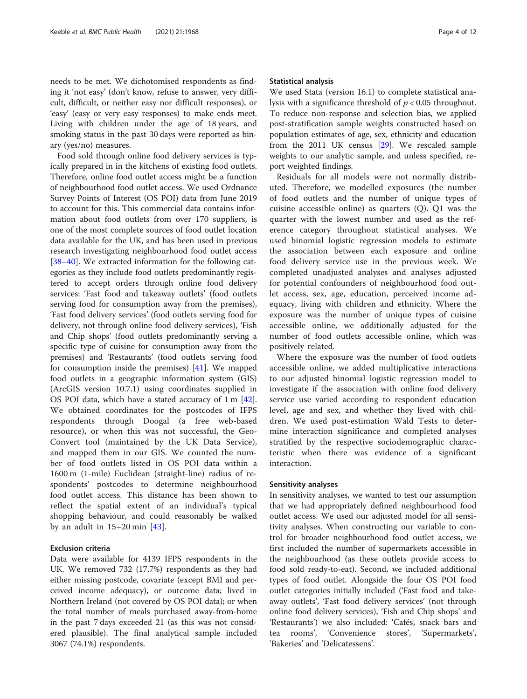needs to be met. We dichotomised respondents as finding it 'not easy' (don't know, refuse to answer, very difficult, difficult, or neither easy nor difficult responses), or 'easy' (easy or very easy responses) to make ends meet. Living with children under the age of 18 years, and smoking status in the past 30 days were reported as binary (yes/no) measures.

Food sold through online food delivery services is typically prepared in in the kitchens of existing food outlets. Therefore, online food outlet access might be a function of neighbourhood food outlet access. We used Ordnance Survey Points of Interest (OS POI) data from June 2019 to account for this. This commercial data contains information about food outlets from over 170 suppliers, is one of the most complete sources of food outlet location data available for the UK, and has been used in previous research investigating neighbourhood food outlet access [38–40]. We extracted information for the following categories as they include food outlets predominantly registered to accept orders through online food delivery services: 'Fast food and takeaway outlets' (food outlets serving food for consumption away from the premises), 'Fast food delivery services' (food outlets serving food for delivery, not through online food delivery services), 'Fish and Chip shops' (food outlets predominantly serving a specific type of cuisine for consumption away from the premises) and 'Restaurants' (food outlets serving food for consumption inside the premises) [41]. We mapped food outlets in a geographic information system (GIS) (ArcGIS version 10.7.1) using coordinates supplied in OS POI data, which have a stated accuracy of 1 m [42]. We obtained coordinates for the postcodes of IFPS respondents through Doogal (a free web-based resource), or when this was not successful, the Geo-Convert tool (maintained by the UK Data Service), and mapped them in our GIS. We counted the number of food outlets listed in OS POI data within a 1600 m (1-mile) Euclidean (straight-line) radius of respondents' postcodes to determine neighbourhood food outlet access. This distance has been shown to reflect the spatial extent of an individual's typical shopping behaviour, and could reasonably be walked by an adult in  $15-20$  min  $[43]$ .

#### Exclusion criteria

Data were available for 4139 IFPS respondents in the UK. We removed 732 (17.7%) respondents as they had either missing postcode, covariate (except BMI and perceived income adequacy), or outcome data; lived in Northern Ireland (not covered by OS POI data); or when the total number of meals purchased away-from-home in the past 7 days exceeded 21 (as this was not considered plausible). The final analytical sample included 3067 (74.1%) respondents.

#### Statistical analysis

We used Stata (version 16.1) to complete statistical analysis with a significance threshold of  $p < 0.05$  throughout. To reduce non-response and selection bias, we applied post-stratification sample weights constructed based on population estimates of age, sex, ethnicity and education from the 2011 UK census [29]. We rescaled sample weights to our analytic sample, and unless specified, report weighted findings.

Residuals for all models were not normally distributed. Therefore, we modelled exposures (the number of food outlets and the number of unique types of cuisine accessible online) as quarters (Q). Q1 was the quarter with the lowest number and used as the reference category throughout statistical analyses. We used binomial logistic regression models to estimate the association between each exposure and online food delivery service use in the previous week. We completed unadjusted analyses and analyses adjusted for potential confounders of neighbourhood food outlet access, sex, age, education, perceived income adequacy, living with children and ethnicity. Where the exposure was the number of unique types of cuisine accessible online, we additionally adjusted for the number of food outlets accessible online, which was positively related.

Where the exposure was the number of food outlets accessible online, we added multiplicative interactions to our adjusted binomial logistic regression model to investigate if the association with online food delivery service use varied according to respondent education level, age and sex, and whether they lived with children. We used post-estimation Wald Tests to determine interaction significance and completed analyses stratified by the respective sociodemographic characteristic when there was evidence of a significant interaction.

#### Sensitivity analyses

In sensitivity analyses, we wanted to test our assumption that we had appropriately defined neighbourhood food outlet access. We used our adjusted model for all sensitivity analyses. When constructing our variable to control for broader neighbourhood food outlet access, we first included the number of supermarkets accessible in the neighbourhood (as these outlets provide access to food sold ready-to-eat). Second, we included additional types of food outlet. Alongside the four OS POI food outlet categories initially included ('Fast food and takeaway outlets', 'Fast food delivery services' (not through online food delivery services), 'Fish and Chip shops' and 'Restaurants') we also included: 'Cafés, snack bars and tea rooms', 'Convenience stores', 'Supermarkets', 'Bakeries' and 'Delicatessens'.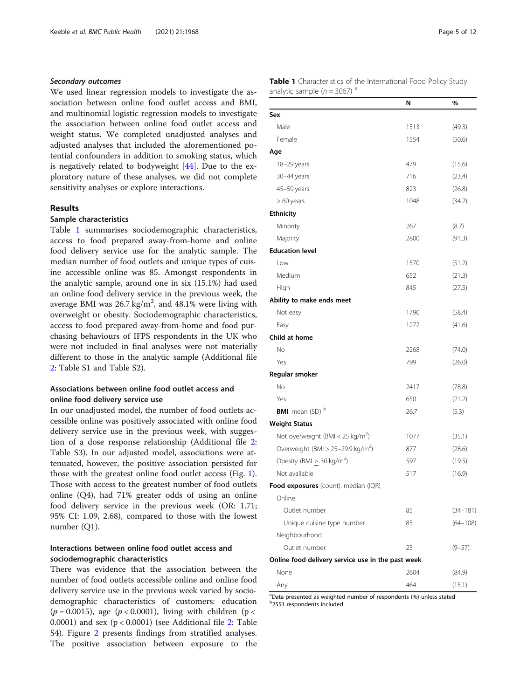#### Secondary outcomes

We used linear regression models to investigate the association between online food outlet access and BMI, and multinomial logistic regression models to investigate the association between online food outlet access and weight status. We completed unadjusted analyses and adjusted analyses that included the aforementioned potential confounders in addition to smoking status, which is negatively related to bodyweight [44]. Due to the exploratory nature of these analyses, we did not complete sensitivity analyses or explore interactions.

#### Results

#### Sample characteristics

Table 1 summarises sociodemographic characteristics, access to food prepared away-from-home and online food delivery service use for the analytic sample. The median number of food outlets and unique types of cuisine accessible online was 85. Amongst respondents in the analytic sample, around one in six (15.1%) had used an online food delivery service in the previous week, the average BMI was 26.7 kg/m<sup>2</sup>, and 48.1% were living with overweight or obesity. Sociodemographic characteristics, access to food prepared away-from-home and food purchasing behaviours of IFPS respondents in the UK who were not included in final analyses were not materially different to those in the analytic sample (Additional file 2: Table S1 and Table S2).

#### Associations between online food outlet access and online food delivery service use

In our unadjusted model, the number of food outlets accessible online was positively associated with online food delivery service use in the previous week, with suggestion of a dose response relationship (Additional file 2: Table S3). In our adjusted model, associations were attenuated, however, the positive association persisted for those with the greatest online food outlet access (Fig. 1). Those with access to the greatest number of food outlets online (Q4), had 71% greater odds of using an online food delivery service in the previous week (OR: 1.71; 95% CI: 1.09, 2.68), compared to those with the lowest number (Q1).

#### Interactions between online food outlet access and sociodemographic characteristics

There was evidence that the association between the number of food outlets accessible online and online food delivery service use in the previous week varied by sociodemographic characteristics of customers: education  $(p = 0.0015)$ , age  $(p < 0.0001)$ , living with children  $(p <$ 0.0001) and sex  $(p < 0.0001)$  (see Additional file 2: Table S4). Figure 2 presents findings from stratified analyses. The positive association between exposure to the Table 1 Characteristics of the International Food Policy Study analytic sample ( $n = 3067$ ) and

|                                                   | N    | %            |
|---------------------------------------------------|------|--------------|
| Sex                                               |      |              |
| Male                                              | 1513 | (49.3)       |
| Female                                            | 1554 | (50.6)       |
| Age                                               |      |              |
| 18-29 years                                       | 479  | (15.6)       |
| 30-44 years                                       | 716  | (23.4)       |
| 45-59 years                                       | 823  | (26.8)       |
| $>60$ years                                       | 1048 | (34.2)       |
| <b>Ethnicity</b>                                  |      |              |
| Minority                                          | 267  | (8.7)        |
| Majority                                          | 2800 | (91.3)       |
| <b>Education level</b>                            |      |              |
| Low                                               | 1570 | (51.2)       |
| Medium                                            | 652  | (21.3)       |
| High                                              | 845  | (27.5)       |
| Ability to make ends meet                         |      |              |
| Not easy                                          | 1790 | (58.4)       |
| Easy                                              | 1277 | (41.6)       |
| Child at home                                     |      |              |
| No                                                | 2268 | (74.0)       |
| Yes                                               | 799  | (26.0)       |
| Regular smoker                                    |      |              |
| No                                                | 2417 | (78.8)       |
| Yes                                               | 650  | (21.2)       |
| <b>BMI:</b> mean (SD) b                           | 26.7 | (5.3)        |
| <b>Weight Status</b>                              |      |              |
| Not overweight (BMI < 25 kg/m <sup>2</sup> )      | 1077 | (35.1)       |
| Overweight (BMI > 25-29.9 kg/m <sup>2</sup> )     | 877  | (28.6)       |
| Obesity (BMI $\geq 30$ kg/m <sup>2</sup> )        | 597  | (19.5)       |
| Not available                                     | 517  | (16.9)       |
| Food exposures (count): median (IQR)              |      |              |
| Online                                            |      |              |
| Outlet number                                     | 85   | $(34 - 181)$ |
| Unique cuisine type number                        | 85   | $(64 - 108)$ |
| Neighbourhood                                     |      |              |
| Outlet number                                     | 25   | $(9 - 57)$   |
| Online food delivery service use in the past week |      |              |
| None                                              | 2604 | (84.9)       |
| Any                                               | 464  | (15.1)       |

<sup>a</sup>Data presented as weighted number of respondents (%) unless stated b 2551 respondents included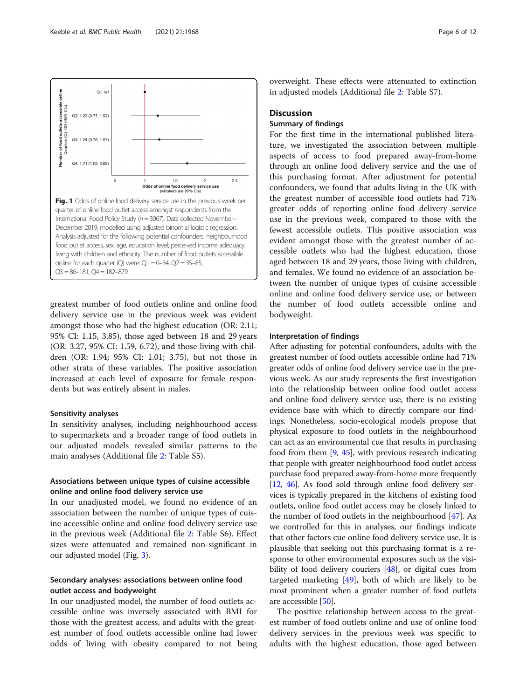

greatest number of food outlets online and online food delivery service use in the previous week was evident amongst those who had the highest education (OR: 2.11; 95% CI: 1.15, 3.85), those aged between 18 and 29 years (OR: 3.27, 95% CI: 1.59, 6.72), and those living with children (OR: 1.94; 95% CI: 1.01; 3.75), but not those in other strata of these variables. The positive association increased at each level of exposure for female respondents but was entirely absent in males.

#### Sensitivity analyses

In sensitivity analyses, including neighbourhood access to supermarkets and a broader range of food outlets in our adjusted models revealed similar patterns to the main analyses (Additional file 2: Table S5).

#### Associations between unique types of cuisine accessible online and online food delivery service use

In our unadjusted model, we found no evidence of an association between the number of unique types of cuisine accessible online and online food delivery service use in the previous week (Additional file 2: Table S6). Effect sizes were attenuated and remained non-significant in our adjusted model (Fig. 3).

#### Secondary analyses: associations between online food outlet access and bodyweight

In our unadjusted model, the number of food outlets accessible online was inversely associated with BMI for those with the greatest access, and adults with the greatest number of food outlets accessible online had lower odds of living with obesity compared to not being

overweight. These effects were attenuated to extinction in adjusted models (Additional file 2: Table S7).

#### **Discussion**

#### Summary of findings

For the first time in the international published literature, we investigated the association between multiple aspects of access to food prepared away-from-home through an online food delivery service and the use of this purchasing format. After adjustment for potential confounders, we found that adults living in the UK with the greatest number of accessible food outlets had 71% greater odds of reporting online food delivery service use in the previous week, compared to those with the fewest accessible outlets. This positive association was evident amongst those with the greatest number of accessible outlets who had the highest education, those aged between 18 and 29 years, those living with children, and females. We found no evidence of an association between the number of unique types of cuisine accessible online and online food delivery service use, or between the number of food outlets accessible online and bodyweight.

#### Interpretation of findings

After adjusting for potential confounders, adults with the greatest number of food outlets accessible online had 71% greater odds of online food delivery service use in the previous week. As our study represents the first investigation into the relationship between online food outlet access and online food delivery service use, there is no existing evidence base with which to directly compare our findings. Nonetheless, socio-ecological models propose that physical exposure to food outlets in the neighbourhood can act as an environmental cue that results in purchasing food from them [9, 45], with previous research indicating that people with greater neighbourhood food outlet access purchase food prepared away-from-home more frequently [12, 46]. As food sold through online food delivery services is typically prepared in the kitchens of existing food outlets, online food outlet access may be closely linked to the number of food outlets in the neighbourhood [47]. As we controlled for this in analyses, our findings indicate that other factors cue online food delivery service use. It is plausible that seeking out this purchasing format is a response to other environmental exposures such as the visibility of food delivery couriers [48], or digital cues from targeted marketing  $[49]$ , both of which are likely to be most prominent when a greater number of food outlets are accessible [50].

The positive relationship between access to the greatest number of food outlets online and use of online food delivery services in the previous week was specific to adults with the highest education, those aged between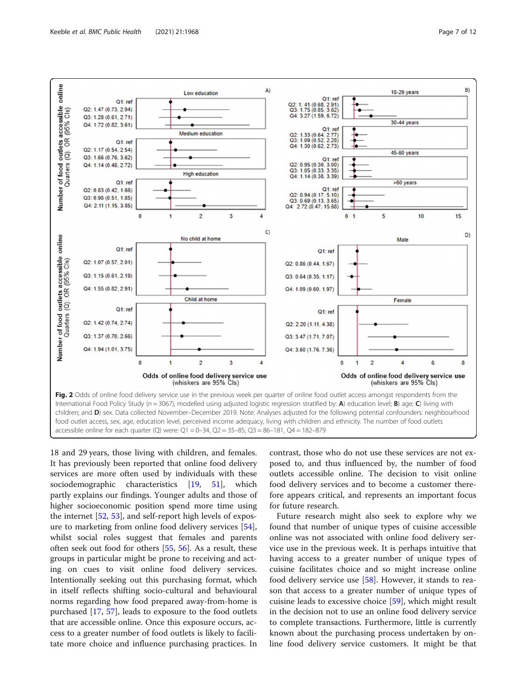

18 and 29 years, those living with children, and females. It has previously been reported that online food delivery services are more often used by individuals with these sociodemographic characteristics [19, 51], which partly explains our findings. Younger adults and those of higher socioeconomic position spend more time using the internet [52, 53], and self-report high levels of exposure to marketing from online food delivery services [54], whilst social roles suggest that females and parents often seek out food for others [55, 56]. As a result, these groups in particular might be prone to receiving and acting on cues to visit online food delivery services. Intentionally seeking out this purchasing format, which in itself reflects shifting socio-cultural and behavioural norms regarding how food prepared away-from-home is purchased [17, 57], leads to exposure to the food outlets that are accessible online. Once this exposure occurs, access to a greater number of food outlets is likely to facilitate more choice and influence purchasing practices. In contrast, those who do not use these services are not exposed to, and thus influenced by, the number of food outlets accessible online. The decision to visit online food delivery services and to become a customer therefore appears critical, and represents an important focus for future research.

Future research might also seek to explore why we found that number of unique types of cuisine accessible online was not associated with online food delivery service use in the previous week. It is perhaps intuitive that having access to a greater number of unique types of cuisine facilitates choice and so might increase online food delivery service use [58]. However, it stands to reason that access to a greater number of unique types of cuisine leads to excessive choice [59], which might result in the decision not to use an online food delivery service to complete transactions. Furthermore, little is currently known about the purchasing process undertaken by online food delivery service customers. It might be that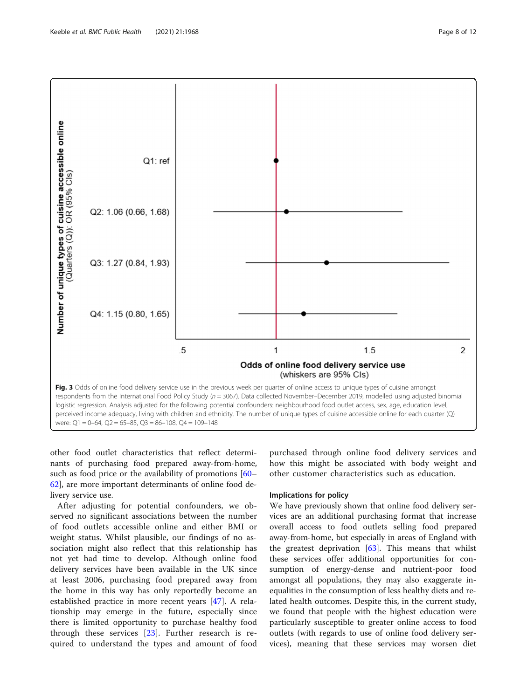

other food outlet characteristics that reflect determinants of purchasing food prepared away-from-home, such as food price or the availability of promotions [60– 62], are more important determinants of online food delivery service use.

After adjusting for potential confounders, we observed no significant associations between the number of food outlets accessible online and either BMI or weight status. Whilst plausible, our findings of no association might also reflect that this relationship has not yet had time to develop. Although online food delivery services have been available in the UK since at least 2006, purchasing food prepared away from the home in this way has only reportedly become an established practice in more recent years [47]. A relationship may emerge in the future, especially since there is limited opportunity to purchase healthy food through these services  $[23]$ . Further research is required to understand the types and amount of food

purchased through online food delivery services and how this might be associated with body weight and other customer characteristics such as education.

#### Implications for policy

We have previously shown that online food delivery services are an additional purchasing format that increase overall access to food outlets selling food prepared away-from-home, but especially in areas of England with the greatest deprivation [63]. This means that whilst these services offer additional opportunities for consumption of energy-dense and nutrient-poor food amongst all populations, they may also exaggerate inequalities in the consumption of less healthy diets and related health outcomes. Despite this, in the current study, we found that people with the highest education were particularly susceptible to greater online access to food outlets (with regards to use of online food delivery services), meaning that these services may worsen diet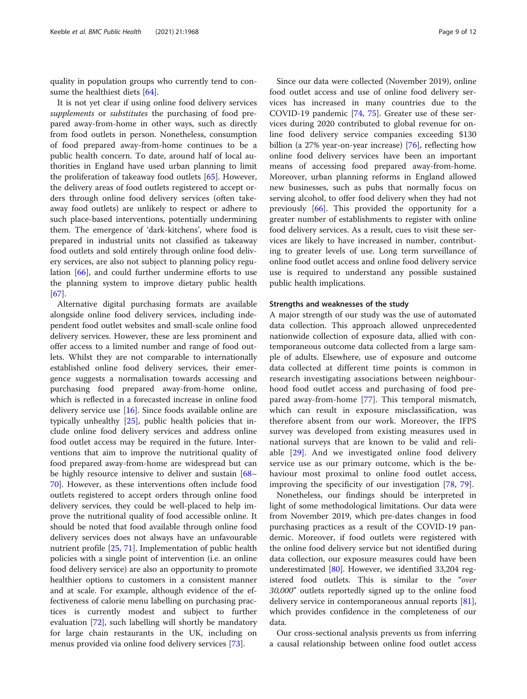quality in population groups who currently tend to consume the healthiest diets [64].

It is not yet clear if using online food delivery services supplements or *substitutes* the purchasing of food prepared away-from-home in other ways, such as directly from food outlets in person. Nonetheless, consumption of food prepared away-from-home continues to be a public health concern. To date, around half of local authorities in England have used urban planning to limit the proliferation of takeaway food outlets [65]. However, the delivery areas of food outlets registered to accept orders through online food delivery services (often takeaway food outlets) are unlikely to respect or adhere to such place-based interventions, potentially undermining them. The emergence of 'dark-kitchens', where food is prepared in industrial units not classified as takeaway food outlets and sold entirely through online food delivery services, are also not subject to planning policy regulation [66], and could further undermine efforts to use the planning system to improve dietary public health [67].

Alternative digital purchasing formats are available alongside online food delivery services, including independent food outlet websites and small-scale online food delivery services. However, these are less prominent and offer access to a limited number and range of food outlets. Whilst they are not comparable to internationally established online food delivery services, their emergence suggests a normalisation towards accessing and purchasing food prepared away-from-home online, which is reflected in a forecasted increase in online food delivery service use [16]. Since foods available online are typically unhealthy [25], public health policies that include online food delivery services and address online food outlet access may be required in the future. Interventions that aim to improve the nutritional quality of food prepared away-from-home are widespread but can be highly resource intensive to deliver and sustain [68– 70]. However, as these interventions often include food outlets registered to accept orders through online food delivery services, they could be well-placed to help improve the nutritional quality of food accessible online. It should be noted that food available through online food delivery services does not always have an unfavourable nutrient profile [25, 71]. Implementation of public health policies with a single point of intervention (i.e. an online food delivery service) are also an opportunity to promote healthier options to customers in a consistent manner and at scale. For example, although evidence of the effectiveness of calorie menu labelling on purchasing practices is currently modest and subject to further evaluation [72], such labelling will shortly be mandatory for large chain restaurants in the UK, including on menus provided via online food delivery services [73].

Since our data were collected (November 2019), online food outlet access and use of online food delivery services has increased in many countries due to the COVID-19 pandemic [74, 75]. Greater use of these services during 2020 contributed to global revenue for online food delivery service companies exceeding \$130 billion (a 27% year-on-year increase) [76], reflecting how online food delivery services have been an important means of accessing food prepared away-from-home. Moreover, urban planning reforms in England allowed new businesses, such as pubs that normally focus on serving alcohol, to offer food delivery when they had not previously [66]. This provided the opportunity for a greater number of establishments to register with online food delivery services. As a result, cues to visit these services are likely to have increased in number, contributing to greater levels of use. Long term surveillance of online food outlet access and online food delivery service use is required to understand any possible sustained public health implications.

#### Strengths and weaknesses of the study

A major strength of our study was the use of automated data collection. This approach allowed unprecedented nationwide collection of exposure data, allied with contemporaneous outcome data collected from a large sample of adults. Elsewhere, use of exposure and outcome data collected at different time points is common in research investigating associations between neighbourhood food outlet access and purchasing of food prepared away-from-home [77]. This temporal mismatch, which can result in exposure misclassification, was therefore absent from our work. Moreover, the IFPS survey was developed from existing measures used in national surveys that are known to be valid and reliable [29]. And we investigated online food delivery service use as our primary outcome, which is the behaviour most proximal to online food outlet access, improving the specificity of our investigation [78, 79].

Nonetheless, our findings should be interpreted in light of some methodological limitations. Our data were from November 2019, which pre-dates changes in food purchasing practices as a result of the COVID-19 pandemic. Moreover, if food outlets were registered with the online food delivery service but not identified during data collection, our exposure measures could have been underestimated  $[80]$ . However, we identified 33,204 registered food outlets. This is similar to the "over 30,000" outlets reportedly signed up to the online food delivery service in contemporaneous annual reports [81], which provides confidence in the completeness of our data.

Our cross-sectional analysis prevents us from inferring a causal relationship between online food outlet access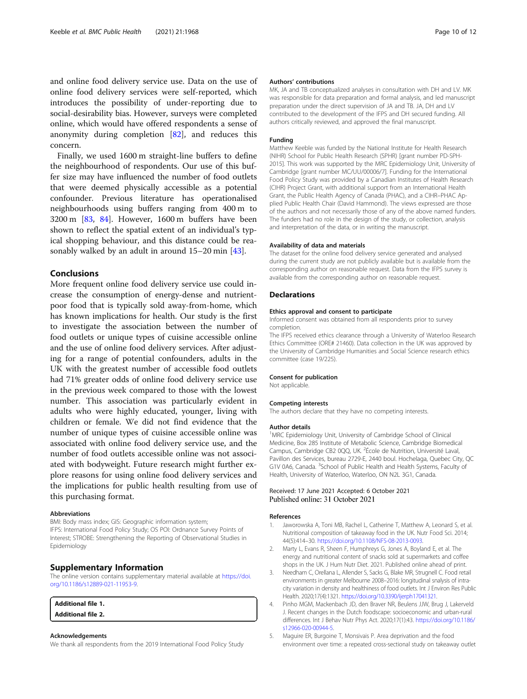and online food delivery service use. Data on the use of online food delivery services were self-reported, which introduces the possibility of under-reporting due to social-desirability bias. However, surveys were completed online, which would have offered respondents a sense of anonymity during completion [82], and reduces this concern.

Finally, we used 1600 m straight-line buffers to define the neighbourhood of respondents. Our use of this buffer size may have influenced the number of food outlets that were deemed physically accessible as a potential confounder. Previous literature has operationalised neighbourhoods using buffers ranging from 400 m to 3200 m [83, 84]. However, 1600 m buffers have been shown to reflect the spatial extent of an individual's typical shopping behaviour, and this distance could be reasonably walked by an adult in around 15–20 min [43].

#### Conclusions

More frequent online food delivery service use could increase the consumption of energy-dense and nutrientpoor food that is typically sold away-from-home, which has known implications for health. Our study is the first to investigate the association between the number of food outlets or unique types of cuisine accessible online and the use of online food delivery services. After adjusting for a range of potential confounders, adults in the UK with the greatest number of accessible food outlets had 71% greater odds of online food delivery service use in the previous week compared to those with the lowest number. This association was particularly evident in adults who were highly educated, younger, living with children or female. We did not find evidence that the number of unique types of cuisine accessible online was associated with online food delivery service use, and the number of food outlets accessible online was not associated with bodyweight. Future research might further explore reasons for using online food delivery services and the implications for public health resulting from use of this purchasing format.

#### Abbreviations

BMI: Body mass index; GIS: Geographic information system; IFPS: International Food Policy Study; OS POI: Ordnance Survey Points of Interest; STROBE: Strengthening the Reporting of Observational Studies in Epidemiology

#### Supplementary Information

The online version contains supplementary material available at https://doi. org/10.1186/s12889-021-11953-9.

| <b>Additional file 1.</b> |  |
|---------------------------|--|
| <b>Additional file 2.</b> |  |

#### Acknowledgements

We thank all respondents from the 2019 International Food Policy Study

#### Authors' contributions

MK, JA and TB conceptualized analyses in consultation with DH and LV. MK was responsible for data preparation and formal analysis, and led manuscript preparation under the direct supervision of JA and TB. JA, DH and LV contributed to the development of the IFPS and DH secured funding. All authors critically reviewed, and approved the final manuscript.

#### Funding

Matthew Keeble was funded by the National Institute for Health Research (NIHR) School for Public Health Research (SPHR) [grant number PD-SPH-2015]. This work was supported by the MRC Epidemiology Unit, University of Cambridge [grant number MC/UU/00006/7]. Funding for the International Food Policy Study was provided by a Canadian Institutes of Health Research (CIHR) Project Grant, with additional support from an International Health Grant, the Public Health Agency of Canada (PHAC), and a CIHR–PHAC Applied Public Health Chair (David Hammond). The views expressed are those of the authors and not necessarily those of any of the above named funders. The funders had no role in the design of the study, or collection, analysis and interpretation of the data, or in writing the manuscript.

#### Availability of data and materials

The dataset for the online food delivery service generated and analysed during the current study are not publicly available but is available from the corresponding author on reasonable request. Data from the IFPS survey is available from the corresponding author on reasonable request.

#### Declarations

#### Ethics approval and consent to participate

Informed consent was obtained from all respondents prior to survey completion.

The IFPS received ethics clearance through a University of Waterloo Research Ethics Committee (ORE# 21460). Data collection in the UK was approved by the University of Cambridge Humanities and Social Science research ethics committee (case 19/225).

#### Consent for publication

Not applicable.

#### Competing interests

The authors declare that they have no competing interests.

#### Author details

<sup>1</sup>MRC Epidemiology Unit, University of Cambridge School of Clinical Medicine, Box 285 Institute of Metabolic Science, Cambridge Biomedical Campus, Cambridge CB2 0QQ, UK. <sup>2</sup>École de Nutrition, Université Laval, Pavillon des Services, bureau 2729-E, 2440 boul. Hochelaga, Quebec City, QC G1V 0A6, Canada. <sup>3</sup>School of Public Health and Health Systems, Faculty of Health, University of Waterloo, Waterloo, ON N2L 3G1, Canada.

#### Received: 17 June 2021 Accepted: 6 October 2021 Published online: 31 October 2021

#### References

- Jaworowska A, Toni MB, Rachel L, Catherine T, Matthew A, Leonard S, et al. Nutritional composition of takeaway food in the UK. Nutr Food Sci. 2014; 44(5):414–30. https://doi.org/10.1108/NFS-08-2013-0093.
- 2. Marty L, Evans R, Sheen F, Humphreys G, Jones A, Boyland E, et al. The energy and nutritional content of snacks sold at supermarkets and coffee shops in the UK. J Hum Nutr Diet. 2021. Published online ahead of print.
- 3. Needham C, Orellana L, Allender S, Sacks G, Blake MR, Strugnell C. Food retail environments in greater Melbourne 2008–2016: longitudinal snalysis of intracity variation in density and healthiness of food outlets. Int J Environ Res Public Health. 2020;17(4):1321. https://doi.org/10.3390/ijerph17041321.
- 4. Pinho MGM, Mackenbach JD, den Braver NR, Beulens JJW, Brug J, Lakerveld J. Recent changes in the Dutch foodscape: socioeconomic and urban-rural differences. Int J Behav Nutr Phys Act. 2020;17(1):43. https://doi.org/10.1186/ s12966-020-00944-5.
- 5. Maguire ER, Burgoine T, Monsivais P. Area deprivation and the food environment over time: a repeated cross-sectional study on takeaway outlet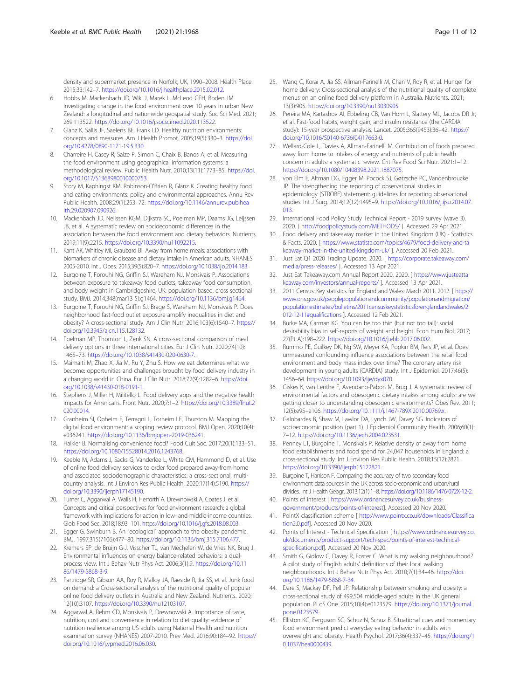density and supermarket presence in Norfolk, UK, 1990–2008. Health Place. 2015;33:142–7. https://doi.org/10.1016/j.healthplace.2015.02.012.

- 6. Hobbs M, Mackenbach JD, Wiki J, Marek L, McLeod GFH, Boden JM. Investigating change in the food environment over 10 years in urban New Zealand: a longitudinal and nationwide geospatial study. Soc Sci Med. 2021; 269:113522. https://doi.org/10.1016/j.socscimed.2020.113522.
- 7. Glanz K, Sallis JF, Saelens BE, Frank LD. Healthy nutrition environments: concepts and measures. Am J Health Promot. 2005;19(5):330–3. https://doi. org/10.4278/0890-1171-19.5.330.
- 8. Charreire H, Casey R, Salze P, Simon C, Chaix B, Banos A, et al. Measuring the food environment using geographical information systems: a methodological review. Public Health Nutr. 2010;13(11):1773–85. https://doi. org/10.1017/S1368980010000753.
- 9. Story M, Kaphingst KM, Robinson-O'Brien R, Glanz K. Creating healthy food and eating environments: policy and environmental approaches. Annu Rev Public Health. 2008;29(1):253–72. https://doi.org/10.1146/annurev.publhea lth.29.020907.090926.
- 10. Mackenbach JD, Nelissen KGM, Dijkstra SC, Poelman MP, Daams JG, Leijssen JB, et al. A systematic review on socioeconomic differences in the association between the food environment and dietary behaviors. Nutrients. 2019;11(9):2215. https://doi.org/10.3390/nu11092215.
- 11. Kant AK, Whitley MI, Graubard BI. Away from home meals: associations with biomarkers of chronic disease and dietary intake in American adults, NHANES 2005-2010. Int J Obes. 2015;39(5):820–7. https://doi.org/10.1038/ijo.2014.183.
- 12. Burgoine T, Forouhi NG, Griffin SJ, Wareham NJ, Monsivais P. Associations between exposure to takeaway food outlets, takeaway food consumption, and body weight in Cambridgeshire, UK: population based, cross sectional study. BMJ. 2014;348(mar13 5):g1464. https://doi.org/10.1136/bmj.g1464.
- 13. Burgoine T, Forouhi NG, Griffin SJ, Brage S, Wareham NJ, Monsivais P. Does neighborhood fast-food outlet exposure amplify inequalities in diet and obesity? A cross-sectional study. Am J Clin Nutr. 2016;103(6):1540–7. https:// doi.org/10.3945/ajcn.115.128132.
- 14. Poelman MP, Thornton L, Zenk SN. A cross-sectional comparison of meal delivery options in three international cities. Eur J Clin Nutr. 2020;74(10): 1465–73. https://doi.org/10.1038/s41430-020-0630-7.
- 15. Maimaiti M, Zhao X, Jia M, Ru Y, Zhu S. How we eat determines what we become: opportunities and challenges brought by food delivery industry in a changing world in China. Eur J Clin Nutr. 2018;72(9):1282–6. https://doi. org/10.1038/s41430-018-0191-1.
- 16. Stephens J, Miller H, Militello L. Food delivery apps and the negative health impacts for Americans. Front Nutr. 2020;7:1–2. https://doi.org/10.3389/fnut.2 020.00014.
- 17. Granheim SI, Opheim E, Terragni L, Torheim LE, Thurston M. Mapping the digital food environment: a scoping review protocol. BMJ Open. 2020;10(4): e036241. https://doi.org/10.1136/bmjopen-2019-036241.
- 18. Halkier B. Normalising convenience food? Food Cult Soc. 2017;20(1):133–51. https://doi.org/10.1080/15528014.2016.1243768.
- 19. Keeble M, Adams J, Sacks G, Vanderlee L, White CM, Hammond D, et al. Use of online food delivery services to order food prepared away-from-home and associated sociodemographic characteristics: a cross-sectional, multicountry analysis. Int J Environ Res Public Health. 2020;17(14):5190. https:// doi.org/10.3390/ijerph17145190.
- 20. Turner C, Aggarwal A, Walls H, Herforth A, Drewnowski A, Coates J, et al. Concepts and critical perspectives for food environment research: a global framework with implications for action in low- and middle-income countries. Glob Food Sec. 2018;18:93–101. https://doi.org/10.1016/j.gfs.2018.08.003.
- 21. Egger G, Swinburn B. An "ecological" approach to the obesity pandemic. BMJ. 1997;315(7106):477–80. https://doi.org/10.1136/bmj.315.7106.477.
- 22. Kremers SP, de Bruijn G-J, Visscher TL, van Mechelen W, de Vries NK, Brug J. Environmental influences on energy balance-related behaviors: a dualprocess view. Int J Behav Nutr Phys Act. 2006;3(1):9. https://doi.org/10.11 86/1479-5868-3-9.
- 23. Partridge SR, Gibson AA, Roy R, Malloy JA, Raeside R, Jia SS, et al. Junk food on demand: a Cross-sectional analysis of the nutritional quality of popular online food delivery outlets in Australia and New Zealand. Nutrients. 2020; 12(10):3107. https://doi.org/10.3390/nu12103107.
- 24. Aggarwal A, Rehm CD, Monsivais P, Drewnowski A. Importance of taste, nutrition, cost and convenience in relation to diet quality: evidence of nutrition resilience among US adults using National Health and nutrition examination survey (NHANES) 2007-2010. Prev Med. 2016;90:184–92. https:// doi.org/10.1016/j.ypmed.2016.06.030.
- 25. Wang C, Korai A, Jia SS, Allman-Farinelli M, Chan V, Roy R, et al. Hunger for home delivery: Cross-sectional analysis of the nutritional quality of complete menus on an online food delivery platform in Australia. Nutrients. 2021; 13(3):905. https://doi.org/10.3390/nu13030905.
- 26. Pereira MA, Kartashov AI, Ebbeling CB, Van Horn L, Slattery ML, Jacobs DR Jr, et al. Fast-food habits, weight gain, and insulin resistance (the CARDIA study): 15-year prospective analysis. Lancet. 2005;365(9453):36–42. https:// doi.org/10.1016/S0140-6736(04)17663-0.
- 27. Wellard-Cole L, Davies A, Allman-Farinelli M. Contribution of foods prepared away from home to intakes of energy and nutrients of public health concern in adults: a systematic review. Crit Rev Food Sci Nutr. 2021:1–12. https://doi.org/10.1080/10408398.2021.1887075.
- 28. von Elm E, Altman DG, Egger M, Pocock SJ, Gøtzsche PC, Vandenbroucke JP. The strengthening the reporting of observational studies in epidemiology (STROBE) statement: guidelines for reporting observational studies. Int J Surg. 2014;12(12):1495–9. https://doi.org/10.1016/j.ijsu.2014.07. 013.
- 29. International Food Policy Study Technical Report 2019 survey (wave 3). 2020. [ http://foodpolicystudy.com/METHODS/ ]. Accessed 29 Apr 2021.
- 30. Food delivery and takeaway market in the United Kingdom (UK) Statistics & Facts. 2020. [ https://www.statista.com/topics/4679/food-delivery-and-ta keaway-market-in-the-united-kingdom-uk/ ]. Accessed 20 Feb 2021.
- 31. Just Eat Q1 2020 Trading Update. 2020. [ https://corporate.takeaway.com/ media/press-releases/ ]. Accessed 13 Apr 2021.
- 32. Just Eat Takeaway.com Annual Report 2020. 2020. [ https://www.justeatta keaway.com/investors/annual-reports/ ]. Accessed 13 Apr 2021.
- 33. 2011 Census: Key statistics for England and Wales: March 2011. 2012. [ https:// www.ons.gov.uk/peoplepopulationandcommunity/populationandmigration/ populationestimates/bulletins/2011censuskeystatisticsforenglandandwales/2 012-12-11#qualifications ]. Accessed 12 Feb 2021.
- 34. Burke MA, Carman KG. You can be too thin (but not too tall): social desirability bias in self-reports of weight and height. Econ Hum Biol. 2017; 27(Pt A):198–222. https://doi.org/10.1016/j.ehb.2017.06.002.
- 35. Rummo PE, Guilkey DK, Ng SW, Meyer KA, Popkin BM, Reis JP, et al. Does unmeasured confounding influence associations between the retail food environment and body mass index over time? The coronary artery risk development in young adults (CARDIA) study. Int J Epidemiol. 2017;46(5): 1456–64. https://doi.org/10.1093/ije/dyx070.
- 36. Giskes K, van Lenthe F, Avendano-Pabon M, Brug J. A systematic review of environmental factors and obesogenic dietary intakes among adults: are we getting closer to understanding obesogenic environments? Obes Rev. 2011; 12(5):e95–e106. https://doi.org/10.1111/j.1467-789X.2010.00769.x.
- 37. Galobardes B, Shaw M, Lawlor DA, Lynch JW, Davey SG. Indicators of socioeconomic position (part 1). J Epidemiol Community Health. 2006;60(1): 7–12. https://doi.org/10.1136/jech.2004.023531.
- 38. Penney LT, Burgoine T, Monsivais P. Relative density of away from home food establishments and food spend for 24,047 households in England: a cross-sectional study. Int J Environ Res Public Health. 2018;15(12):2821. https://doi.org/10.3390/ijerph15122821.
- 39. Burgoine T, Harrison F. Comparing the accuracy of two secondary food environment data sources in the UK across socio-economic and urban/rural divides. Int J Health Geogr. 2013;12(1):1–8. https://doi.org/10.1186/1476-072X-12-2.
- 40. Points of interest [ https://www.ordnancesurvey.co.uk/businessgovernment/products/points-of-interest]. Accessed 20 Nov 2020.
- 41. PointX classification scheme [ http://www.pointx.co.uk/downloads/Classifica tion2.0.pdf]. Accessed 20 Nov 2020.
- 42. Points of Interest Technical Specification [ https://www.ordnancesurvey.co. uk/documents/product-support/tech-spec/points-of-interest-technicalspecification.pdf]. Accessed 20 Nov 2020.
- 43. Smith G, Gidlow C, Davey R, Foster C. What is my walking neighbourhood? A pilot study of English adults' definitions of their local walking neighbourhoods. Int J Behav Nutr Phys Act. 2010;7(1):34–46. https://doi. org/10.1186/1479-5868-7-34.
- 44. Dare S, Mackay DF, Pell JP. Relationship between smoking and obesity: a cross-sectional study of 499,504 middle-aged adults in the UK general population. PLoS One. 2015;10(4):e0123579. https://doi.org/10.1371/journal. pone.0123579.
- 45. Elliston KG, Ferguson SG, Schuz N, Schuz B. Situational cues and momentary food environment predict everyday eating behavior in adults with overweight and obesity. Health Psychol. 2017;36(4):337–45. https://doi.org/1 0.1037/hea0000439.